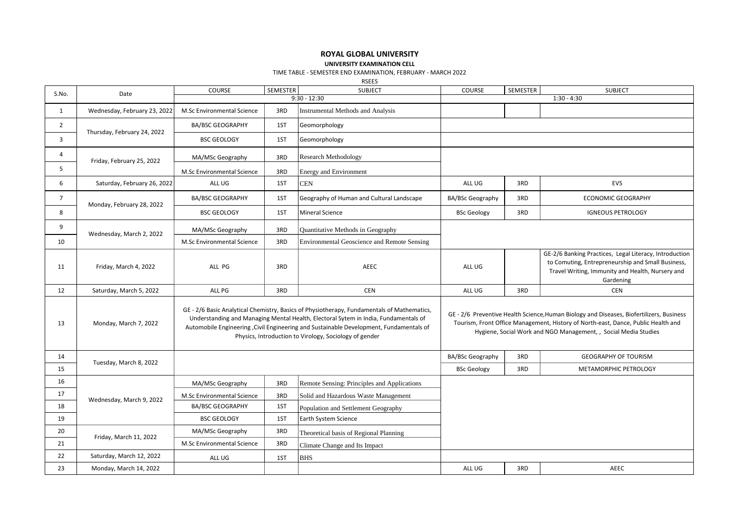## **ROYAL GLOBAL UNIVERSITY**

**UNIVERSITY EXAMINATION CELL**

TIME TABLE - SEMESTER END EXAMINATION, FEBRUARY - MARCH 2022

RSEES

| S.No.          | Date                         | COURSE                     | SEMESTER | <b>SUBJECT</b>                                                                                                                                                                                                                                                                                                                         | COURSE                                                                                                                                                                                                                                           | SEMESTER | <b>SUBJECT</b>                                                                                                                                                               |  |
|----------------|------------------------------|----------------------------|----------|----------------------------------------------------------------------------------------------------------------------------------------------------------------------------------------------------------------------------------------------------------------------------------------------------------------------------------------|--------------------------------------------------------------------------------------------------------------------------------------------------------------------------------------------------------------------------------------------------|----------|------------------------------------------------------------------------------------------------------------------------------------------------------------------------------|--|
|                |                              |                            |          | $9:30 - 12:30$                                                                                                                                                                                                                                                                                                                         |                                                                                                                                                                                                                                                  |          | $1:30 - 4:30$                                                                                                                                                                |  |
| $\mathbf{1}$   | Wednesday, February 23, 2022 | M.Sc Environmental Science | 3RD      | Instrumental Methods and Analysis                                                                                                                                                                                                                                                                                                      |                                                                                                                                                                                                                                                  |          |                                                                                                                                                                              |  |
| $\overline{2}$ | Thursday, February 24, 2022  | <b>BA/BSC GEOGRAPHY</b>    | 1ST      | Geomorphology                                                                                                                                                                                                                                                                                                                          |                                                                                                                                                                                                                                                  |          |                                                                                                                                                                              |  |
| 3              |                              | <b>BSC GEOLOGY</b>         | 1ST      | Geomorphology                                                                                                                                                                                                                                                                                                                          |                                                                                                                                                                                                                                                  |          |                                                                                                                                                                              |  |
| 4              | Friday, February 25, 2022    | MA/MSc Geography           | 3RD      | Research Methodology                                                                                                                                                                                                                                                                                                                   |                                                                                                                                                                                                                                                  |          |                                                                                                                                                                              |  |
| 5              |                              | M.Sc Environmental Science | 3RD      | Energy and Environment                                                                                                                                                                                                                                                                                                                 |                                                                                                                                                                                                                                                  |          |                                                                                                                                                                              |  |
| 6              | Saturday, February 26, 2022  | ALL UG                     | 1ST      | <b>CEN</b>                                                                                                                                                                                                                                                                                                                             | ALL UG                                                                                                                                                                                                                                           | 3RD      | <b>EVS</b>                                                                                                                                                                   |  |
| $\overline{7}$ | Monday, February 28, 2022    | <b>BA/BSC GEOGRAPHY</b>    | 1ST      | Geography of Human and Cultural Landscape                                                                                                                                                                                                                                                                                              | <b>BA/BSc Geography</b>                                                                                                                                                                                                                          | 3RD      | <b>ECONOMIC GEOGRAPHY</b>                                                                                                                                                    |  |
| 8              |                              | <b>BSC GEOLOGY</b>         | 1ST      | <b>Mineral Science</b>                                                                                                                                                                                                                                                                                                                 | <b>BSc Geology</b>                                                                                                                                                                                                                               | 3RD      | <b>IGNEOUS PETROLOGY</b>                                                                                                                                                     |  |
| 9              | Wednesday, March 2, 2022     | MA/MSc Geography           | 3RD      | Quantitative Methods in Geography                                                                                                                                                                                                                                                                                                      |                                                                                                                                                                                                                                                  |          |                                                                                                                                                                              |  |
| 10             |                              | M.Sc Environmental Science | 3RD      | Environmental Geoscience and Remote Sensing                                                                                                                                                                                                                                                                                            |                                                                                                                                                                                                                                                  |          |                                                                                                                                                                              |  |
| 11             | Friday, March 4, 2022        | ALL PG                     | 3RD      | <b>AEEC</b>                                                                                                                                                                                                                                                                                                                            | ALL UG                                                                                                                                                                                                                                           |          | GE-2/6 Banking Practices, Legal Literacy, Introduction<br>to Comuting, Entrepreneurship and Small Business,<br>Travel Writing, Immunity and Health, Nursery and<br>Gardening |  |
| 12             | Saturday, March 5, 2022      | ALL PG                     | 3RD      | CEN                                                                                                                                                                                                                                                                                                                                    | ALL UG                                                                                                                                                                                                                                           | 3RD      | <b>CEN</b>                                                                                                                                                                   |  |
| 13             | Monday, March 7, 2022        |                            |          | GE - 2/6 Basic Analytical Chemistry, Basics of Physiotherapy, Fundamentals of Mathematics,<br>Understanding and Managing Mental Health, Electoral Sytem in India, Fundamentals of<br>Automobile Engineering , Civil Engineering and Sustainable Development, Fundamentals of<br>Physics, Introduction to Virology, Sociology of gender | GE - 2/6 Preventive Health Science, Human Biology and Diseases, Biofertilizers, Business<br>Tourism, Front Office Management, History of North-east, Dance, Public Health and<br>Hygiene, Social Work and NGO Management, , Social Media Studies |          |                                                                                                                                                                              |  |
| 14             |                              |                            |          |                                                                                                                                                                                                                                                                                                                                        | BA/BSc Geography                                                                                                                                                                                                                                 | 3RD      | <b>GEOGRAPHY OF TOURISM</b>                                                                                                                                                  |  |
| 15             | Tuesday, March 8, 2022       |                            |          |                                                                                                                                                                                                                                                                                                                                        | <b>BSc Geology</b>                                                                                                                                                                                                                               | 3RD      | METAMORPHIC PETROLOGY                                                                                                                                                        |  |
| 16             | Wednesday, March 9, 2022     | MA/MSc Geography           | 3RD      | Remote Sensing: Principles and Applications                                                                                                                                                                                                                                                                                            |                                                                                                                                                                                                                                                  |          |                                                                                                                                                                              |  |
| 17             |                              | M.Sc Environmental Science | 3RD      | Solid and Hazardous Waste Management                                                                                                                                                                                                                                                                                                   |                                                                                                                                                                                                                                                  |          |                                                                                                                                                                              |  |
| 18             |                              | <b>BA/BSC GEOGRAPHY</b>    | 1ST      | Population and Settlement Geography                                                                                                                                                                                                                                                                                                    |                                                                                                                                                                                                                                                  |          |                                                                                                                                                                              |  |
| 19             |                              | <b>BSC GEOLOGY</b>         | 1ST      | Earth System Science                                                                                                                                                                                                                                                                                                                   |                                                                                                                                                                                                                                                  |          |                                                                                                                                                                              |  |
| 20             | Friday, March 11, 2022       | MA/MSc Geography           | 3RD      | Theoretical basis of Regional Planning                                                                                                                                                                                                                                                                                                 |                                                                                                                                                                                                                                                  |          |                                                                                                                                                                              |  |
| 21             |                              | M.Sc Environmental Science | 3RD      | Climate Change and Its Impact                                                                                                                                                                                                                                                                                                          |                                                                                                                                                                                                                                                  |          |                                                                                                                                                                              |  |
| 22             | Saturday, March 12, 2022     | ALL UG                     | 1ST      | <b>BHS</b>                                                                                                                                                                                                                                                                                                                             |                                                                                                                                                                                                                                                  |          |                                                                                                                                                                              |  |
| 23             | Monday, March 14, 2022       |                            |          |                                                                                                                                                                                                                                                                                                                                        | ALL UG                                                                                                                                                                                                                                           | 3RD      | AEEC                                                                                                                                                                         |  |